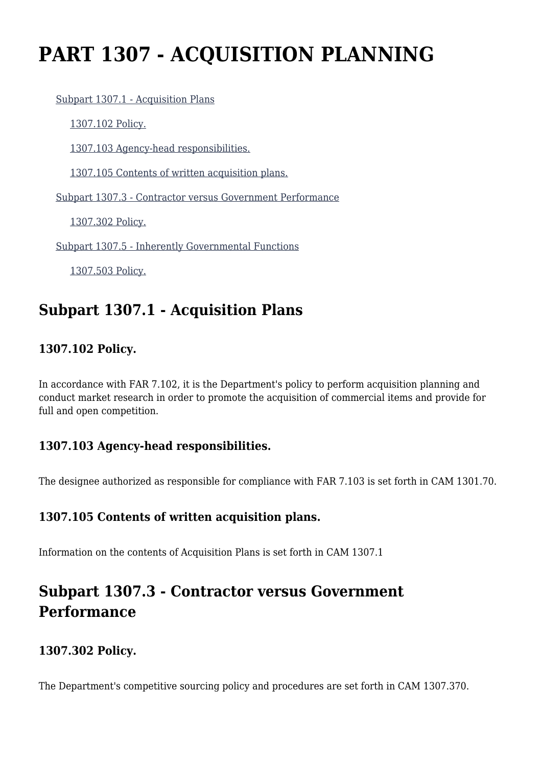# **PART 1307 - ACQUISITION PLANNING**

#### [Subpart 1307.1 - Acquisition Plans](https://login.acquisition.gov/%5Brp:link:car-part-1307%5D#Subpart_1307_1_T48_5064481)

[1307.102 Policy.](https://login.acquisition.gov/%5Brp:link:car-part-1307%5D#Section_1307_102_T48_506448111)

[1307.103 Agency-head responsibilities.](https://login.acquisition.gov/%5Brp:link:car-part-1307%5D#Section_1307_103_T48_506448112)

[1307.105 Contents of written acquisition plans.](https://login.acquisition.gov/%5Brp:link:car-part-1307%5D#Section_1307_105_T48_506448113)

[Subpart 1307.3 - Contractor versus Government Performance](https://login.acquisition.gov/%5Brp:link:car-part-1307%5D#Subpart_1307_3_T48_5064482)

[1307.302 Policy.](https://login.acquisition.gov/%5Brp:link:car-part-1307%5D#Section_1307_302_T48_506448211)

[Subpart 1307.5 - Inherently Governmental Functions](https://login.acquisition.gov/%5Brp:link:car-part-1307%5D#Subpart_1307_5_T48_5064483)

[1307.503 Policy.](https://login.acquisition.gov/%5Brp:link:car-part-1307%5D#Section_1307_503_T48_506448311)

### **Subpart 1307.1 - Acquisition Plans**

### **1307.102 Policy.**

In accordance with FAR 7.102, it is the Department's policy to perform acquisition planning and conduct market research in order to promote the acquisition of commercial items and provide for full and open competition.

#### **1307.103 Agency-head responsibilities.**

The designee authorized as responsible for compliance with FAR 7.103 is set forth in CAM 1301.70.

#### **1307.105 Contents of written acquisition plans.**

Information on the contents of Acquisition Plans is set forth in CAM 1307.1

## **Subpart 1307.3 - Contractor versus Government Performance**

#### **1307.302 Policy.**

The Department's competitive sourcing policy and procedures are set forth in CAM 1307.370.